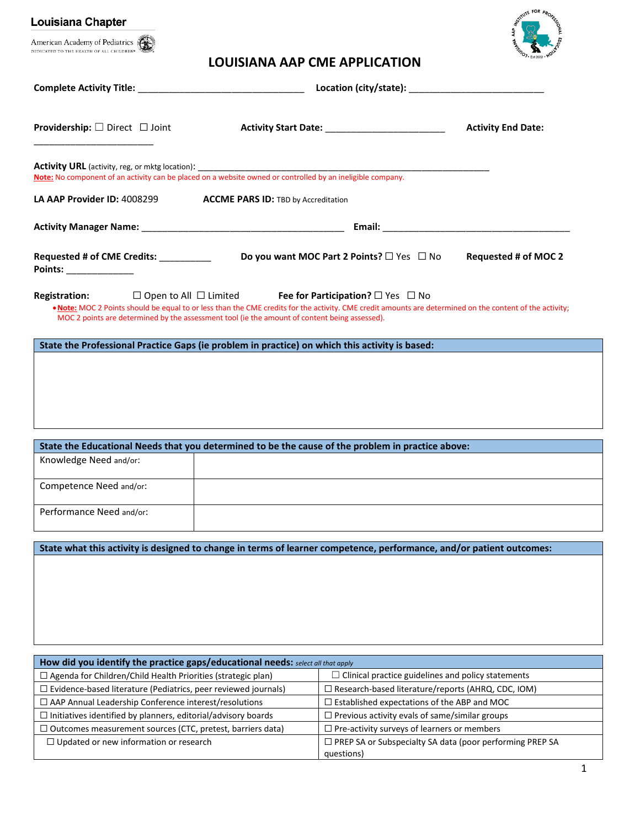| <b>Louisiana Chapter</b>                                                                                                                                                                                                       |                                            |                                                                                                                                                                                                                                           | <b>TUTE FOR PROX</b>        |
|--------------------------------------------------------------------------------------------------------------------------------------------------------------------------------------------------------------------------------|--------------------------------------------|-------------------------------------------------------------------------------------------------------------------------------------------------------------------------------------------------------------------------------------------|-----------------------------|
| American Academy of Pediatrics<br>DEDICATED TO THE HEALTH OF ALL CHILDREN*                                                                                                                                                     |                                            |                                                                                                                                                                                                                                           |                             |
|                                                                                                                                                                                                                                |                                            | <b>LOUISIANA AAP CME APPLICATION</b>                                                                                                                                                                                                      |                             |
|                                                                                                                                                                                                                                |                                            |                                                                                                                                                                                                                                           |                             |
| <b>Providership:</b> $\Box$ Direct $\Box$ Joint                                                                                                                                                                                |                                            | <b>Activity Start Date: _____________________________</b>                                                                                                                                                                                 | <b>Activity End Date:</b>   |
|                                                                                                                                                                                                                                |                                            |                                                                                                                                                                                                                                           |                             |
| LA AAP Provider ID: 4008299                                                                                                                                                                                                    | <b>ACCME PARS ID: TBD by Accreditation</b> |                                                                                                                                                                                                                                           |                             |
| Activity Manager Name: Name and Activity Manager Name: Name and Activity Manager Name: Name and Activity Manager Name: Name and Activity Manager Name: Name and Activity Manager Name and Activity Manager Name and Activity M |                                            |                                                                                                                                                                                                                                           |                             |
| Requested # of CME Credits: __________<br>Points: ______________                                                                                                                                                               |                                            | Do you want MOC Part 2 Points? $\square$ Yes $\square$ No                                                                                                                                                                                 | <b>Requested # of MOC 2</b> |
| <b>Registration:</b><br>MOC 2 points are determined by the assessment tool (ie the amount of content being assessed).                                                                                                          |                                            | $\Box$ Open to All $\Box$ Limited Fee for Participation? $\Box$ Yes $\Box$ No<br>. Note: MOC 2 Points should be equal to or less than the CME credits for the activity. CME credit amounts are determined on the content of the activity; |                             |
| State the Professional Practice Gaps (ie problem in practice) on which this activity is based:                                                                                                                                 |                                            |                                                                                                                                                                                                                                           |                             |
|                                                                                                                                                                                                                                |                                            |                                                                                                                                                                                                                                           |                             |
|                                                                                                                                                                                                                                |                                            |                                                                                                                                                                                                                                           |                             |
|                                                                                                                                                                                                                                |                                            |                                                                                                                                                                                                                                           |                             |
|                                                                                                                                                                                                                                |                                            |                                                                                                                                                                                                                                           |                             |
|                                                                                                                                                                                                                                |                                            |                                                                                                                                                                                                                                           |                             |
| Knowledge Need and/or:                                                                                                                                                                                                         |                                            | State the Educational Needs that you determined to be the cause of the problem in practice above:                                                                                                                                         |                             |
|                                                                                                                                                                                                                                |                                            |                                                                                                                                                                                                                                           |                             |
| Competence Need and/or:                                                                                                                                                                                                        |                                            |                                                                                                                                                                                                                                           |                             |
| Performance Need and/or:                                                                                                                                                                                                       |                                            |                                                                                                                                                                                                                                           |                             |
|                                                                                                                                                                                                                                |                                            |                                                                                                                                                                                                                                           |                             |
|                                                                                                                                                                                                                                |                                            | State what this activity is designed to change in terms of learner competence, performance, and/or patient outcomes:                                                                                                                      |                             |
|                                                                                                                                                                                                                                |                                            |                                                                                                                                                                                                                                           |                             |
|                                                                                                                                                                                                                                |                                            |                                                                                                                                                                                                                                           |                             |
|                                                                                                                                                                                                                                |                                            |                                                                                                                                                                                                                                           |                             |
|                                                                                                                                                                                                                                |                                            |                                                                                                                                                                                                                                           |                             |
|                                                                                                                                                                                                                                |                                            |                                                                                                                                                                                                                                           |                             |
|                                                                                                                                                                                                                                |                                            |                                                                                                                                                                                                                                           |                             |
| How did you identify the practice gaps/educational needs: select all that apply                                                                                                                                                |                                            |                                                                                                                                                                                                                                           |                             |
| $\Box$ Agenda for Children/Child Health Priorities (strategic plan)                                                                                                                                                            |                                            |                                                                                                                                                                                                                                           |                             |
|                                                                                                                                                                                                                                |                                            | $\Box$ Clinical practice guidelines and policy statements                                                                                                                                                                                 |                             |
| $\Box$ Evidence-based literature (Pediatrics, peer reviewed journals)<br>□ AAP Annual Leadership Conference interest/resolutions                                                                                               |                                            | □ Research-based literature/reports (AHRQ, CDC, IOM)<br>$\Box$ Established expectations of the ABP and MOC                                                                                                                                |                             |
|                                                                                                                                                                                                                                |                                            |                                                                                                                                                                                                                                           |                             |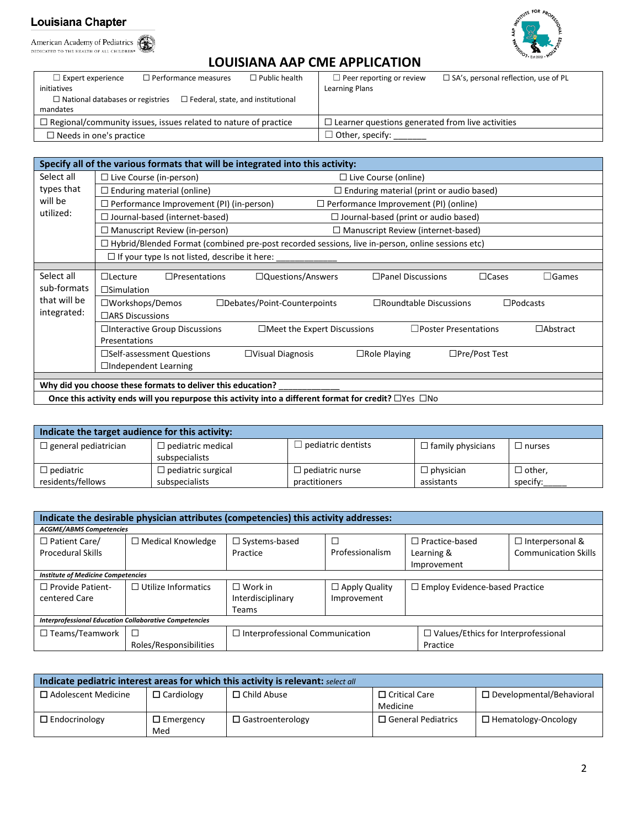American Academy of Pediatrics



# **LOUISIANA AAP CME APPLICATION**

| $\Box$ Expert experience<br>initiatives | $\Box$ Performance measures                                            | $\Box$ Public health | $\Box$ Peer reporting or review<br>Learning Plans       | $\Box$ SA's, personal reflection, use of PL |
|-----------------------------------------|------------------------------------------------------------------------|----------------------|---------------------------------------------------------|---------------------------------------------|
| $\Box$ National databases or registries | $\Box$ Federal, state, and institutional                               |                      |                                                         |                                             |
| mandates                                |                                                                        |                      |                                                         |                                             |
|                                         | $\Box$ Regional/community issues, issues related to nature of practice |                      | $\Box$ Learner questions generated from live activities |                                             |
| $\Box$ Needs in one's practice          |                                                                        |                      | $\exists$ Other, specify:                               |                                             |

|              | Specify all of the various formats that will be integrated into this activity:                                           |  |  |  |  |  |
|--------------|--------------------------------------------------------------------------------------------------------------------------|--|--|--|--|--|
| Select all   | $\Box$ Live Course (in-person)<br>$\Box$ Live Course (online)                                                            |  |  |  |  |  |
| types that   | $\Box$ Enduring material (online)<br>$\Box$ Enduring material (print or audio based)                                     |  |  |  |  |  |
| will be      | $\Box$ Performance Improvement (PI) (in-person)<br>$\Box$ Performance Improvement (PI) (online)                          |  |  |  |  |  |
| utilized:    | $\Box$ Journal-based (internet-based)<br>$\Box$ Journal-based (print or audio based)                                     |  |  |  |  |  |
|              | $\Box$ Manuscript Review (in-person)<br>$\Box$ Manuscript Review (internet-based)                                        |  |  |  |  |  |
|              | $\Box$ Hybrid/Blended Format (combined pre-post recorded sessions, live in-person, online sessions etc)                  |  |  |  |  |  |
|              | $\Box$ If your type Is not listed, describe it here:                                                                     |  |  |  |  |  |
|              |                                                                                                                          |  |  |  |  |  |
| Select all   | □Questions/Answers<br>$\Box$ Cases<br>$\Box$ Lecture<br>$\Box$ Presentations<br>$\Box$ Panel Discussions<br>$\Box$ Games |  |  |  |  |  |
| sub-formats  | $\square$ Simulation                                                                                                     |  |  |  |  |  |
| that will be | $\square$ Workshops/Demos<br>□Debates/Point-Counterpoints<br>$\square$ Roundtable Discussions<br>$\square$ Podcasts      |  |  |  |  |  |
| integrated:  | $\Box$ ARS Discussions                                                                                                   |  |  |  |  |  |
|              | □Interactive Group Discussions<br>$\Box$ Poster Presentations<br>$\Box$ Meet the Expert Discussions<br>$\Box$ Abstract   |  |  |  |  |  |
|              | Presentations                                                                                                            |  |  |  |  |  |
|              | $\square$ Pre/Post Test<br>$\square$ Self-assessment Questions<br>$\Box$ Visual Diagnosis<br>$\Box$ Role Playing         |  |  |  |  |  |
|              | □Independent Learning                                                                                                    |  |  |  |  |  |
|              |                                                                                                                          |  |  |  |  |  |
|              | Why did you choose these formats to deliver this education?                                                              |  |  |  |  |  |
|              | Once this activity ends will you repurpose this activity into a different format for credit? □ Yes □ No                  |  |  |  |  |  |

| Indicate the target audience for this activity: |                                            |                        |                          |               |  |  |
|-------------------------------------------------|--------------------------------------------|------------------------|--------------------------|---------------|--|--|
| $\Box$ general pediatrician                     | $\Box$ pediatric medical<br>subspecialists | pediatric dentists     | $\Box$ family physicians | $\Box$ nurses |  |  |
| $\Box$ pediatric                                | $\Box$ pediatric surgical                  | $\Box$ pediatric nurse | $\Box$ physician         | $\Box$ other. |  |  |
| residents/fellows                               | subspecialists                             | practitioners          | assistants               | specify:      |  |  |

| Indicate the desirable physician attributes (competencies) this activity addresses: |                             |                                                                                                  |                                     |                                                    |                                                       |  |
|-------------------------------------------------------------------------------------|-----------------------------|--------------------------------------------------------------------------------------------------|-------------------------------------|----------------------------------------------------|-------------------------------------------------------|--|
| <b>ACGME/ABMS Competencies</b>                                                      |                             |                                                                                                  |                                     |                                                    |                                                       |  |
| $\Box$ Patient Care/<br><b>Procedural Skills</b>                                    | $\Box$ Medical Knowledge    | $\Box$ Systems-based<br>Practice                                                                 | Professionalism                     | $\Box$ Practice-based<br>Learning &<br>Improvement | $\Box$ Interpersonal &<br><b>Communication Skills</b> |  |
| <b>Institute of Medicine Competencies</b>                                           |                             |                                                                                                  |                                     |                                                    |                                                       |  |
| $\Box$ Provide Patient-<br>centered Care                                            | $\Box$ Utilize Informatics  | $\Box$ Work in<br>Interdisciplinary<br><b>Teams</b>                                              | $\Box$ Apply Quality<br>Improvement | $\Box$ Employ Evidence-based Practice              |                                                       |  |
| <b>Interprofessional Education Collaborative Competencies</b>                       |                             |                                                                                                  |                                     |                                                    |                                                       |  |
| $\Box$ Teams/Teamwork                                                               | □<br>Roles/Responsibilities | $\Box$ Interprofessional Communication<br>$\Box$ Values/Ethics for Interprofessional<br>Practice |                                     |                                                    |                                                       |  |

| Indicate pediatric interest areas for which this activity is relevant: select all |                         |                         |                                  |                                 |  |  |
|-----------------------------------------------------------------------------------|-------------------------|-------------------------|----------------------------------|---------------------------------|--|--|
| $\Box$ Adolescent Medicine                                                        | $\Box$ Cardiology       | $\Box$ Child Abuse      | $\Box$ Critical Care<br>Medicine | $\Box$ Developmental/Behavioral |  |  |
| $\Box$ Endocrinology                                                              | $\Box$ Emergency<br>Med | $\Box$ Gastroenterology | $\Box$ General Pediatrics        | $\Box$ Hematology-Oncology      |  |  |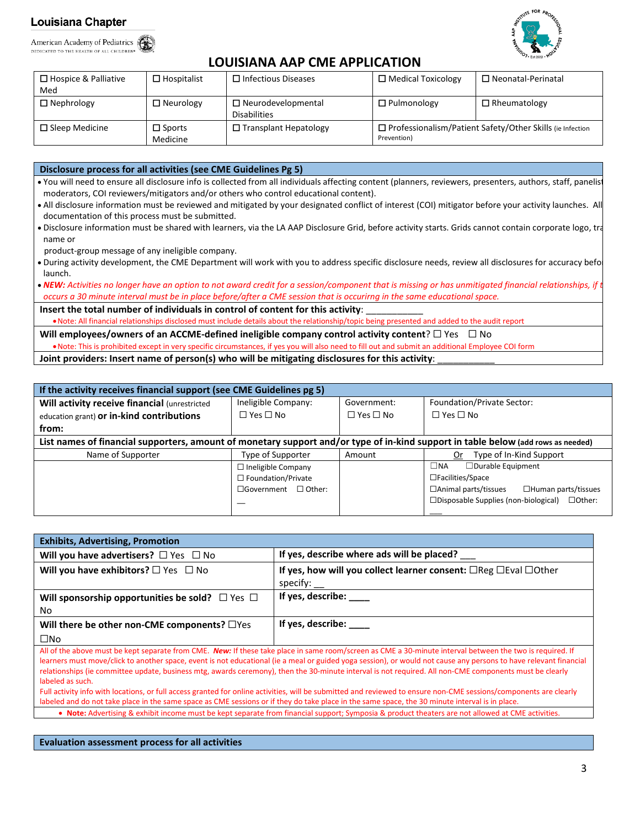American Academy of Pediatrics DEDICATED TO THE HEALTH OF ALL CHILDREN®



# **LOUISIANA AAP CME APPLICATION**

| $\Box$ Hospice & Palliative<br>Med | $\Box$ Hospitalist        | $\Box$ Infectious Diseases                       | $\Box$ Medical Toxicology                                                       | $\Box$ Neonatal-Perinatal |
|------------------------------------|---------------------------|--------------------------------------------------|---------------------------------------------------------------------------------|---------------------------|
| $\Box$ Nephrology                  | $\Box$ Neurology          | $\Box$ Neurodevelopmental<br><b>Disabilities</b> | $\Box$ Pulmonology                                                              | $\Box$ Rheumatology       |
| $\Box$ Sleep Medicine              | $\Box$ Sports<br>Medicine | $\Box$ Transplant Hepatology                     | $\Box$ Professionalism/Patient Safety/Other Skills (ie Infection<br>Prevention) |                           |

**Disclosure process for all activities (see CME Guidelines Pg 5)**

• You will need to ensure all disclosure info is collected from all individuals affecting content (planners, reviewers, presenters, authors, staff, panelist moderators, COI reviewers/mitigators and/or others who control educational content).

- All disclosure information must be reviewed and mitigated by your designated conflict of interest (COI) mitigator before your activity launches. All documentation of this process must be submitted.
- Disclosure information must be shared with learners, via the LA AAP Disclosure Grid, before activity starts. Grids cannot contain corporate logo, tra name or

product-group message of any ineligible company.

• During activity development, the CME Department will work with you to address specific disclosure needs, review all disclosures for accuracy befor launch.

• NEW: Activities no longer have an option to not award credit for a session/component that is missing or has unmitigated financial relationships, if t *occurs a 30 minute interval must be in place before/after a CME session that is occurirng in the same educational space.*

Insert the total number of individuals in control of content for this activity:

•Note: All financial relationships disclosed must include details about the relationship/topic being presented and added to the audit report

**Will employees/owners of an ACCME-defined ineligible company control activity content**? ☐ Yes ☐ No

•Note: This is prohibited except in very specific circumstances, if yes you will also need to fill out and submit an additional Employee COI form

**Joint providers: Insert name of person(s) who will be mitigating disclosures for this activity**: \_\_\_\_\_\_\_\_\_\_\_

| If the activity receives financial support (see CME Guidelines pg 5)                                                              |                                 |                      |                                                                 |  |  |
|-----------------------------------------------------------------------------------------------------------------------------------|---------------------------------|----------------------|-----------------------------------------------------------------|--|--|
| Will activity receive financial (unrestricted                                                                                     | Ineligible Company:             | Government:          | Foundation/Private Sector:                                      |  |  |
| education grant) or in-kind contributions                                                                                         | $\square$ Yes $\square$ No      | $\Box$ Yes $\Box$ No | $\Box$ Yes $\Box$ No                                            |  |  |
| from:                                                                                                                             |                                 |                      |                                                                 |  |  |
| List names of financial supporters, amount of monetary support and/or type of in-kind support in table below (add rows as needed) |                                 |                      |                                                                 |  |  |
| Name of Supporter                                                                                                                 | Type of Supporter               | Amount               | Type of In-Kind Support<br>Or                                   |  |  |
|                                                                                                                                   | $\Box$ Ineligible Company       |                      | □Durable Equipment<br>$\Box$ NA                                 |  |  |
|                                                                                                                                   | $\Box$ Foundation/Private       |                      | $\Box$ Facilities/Space                                         |  |  |
|                                                                                                                                   | $\Box$ Government $\Box$ Other: |                      | $\Box$ Animal parts/tissues<br>$\Box$ Human parts/tissues       |  |  |
|                                                                                                                                   |                                 |                      | $\square$ Disposable Supplies (non-biological)<br>$\Box$ Other: |  |  |
|                                                                                                                                   |                                 |                      |                                                                 |  |  |

| <b>Exhibits, Advertising, Promotion</b>                   |                                                                                                                                                           |
|-----------------------------------------------------------|-----------------------------------------------------------------------------------------------------------------------------------------------------------|
| Will you have advertisers? $\Box$ Yes $\Box$ No           | If yes, describe where ads will be placed?                                                                                                                |
| Will you have exhibitors? $\square$ Yes $\square$ No      | If yes, how will you collect learner consent: $\Box$ Reg $\Box$ Eval $\Box$ Other                                                                         |
|                                                           | specify:                                                                                                                                                  |
| Will sponsorship opportunities be sold? $\Box$ Yes $\Box$ | If yes, describe: ____                                                                                                                                    |
| No                                                        |                                                                                                                                                           |
| Will there be other non-CME components? $\Box$ Yes        | If yes, describe: _____                                                                                                                                   |
| $\square$ No                                              |                                                                                                                                                           |
|                                                           | All of the above must be kept separate from CME, New If these take place in same reem (screen as CME a 20 minute interval between the two is required. If |

All of the above must be kept separate from CME. *New:* If these take place in same room/screen as CME a 30-minute interval between the two is required. If learners must move/click to another space, event is not educational (ie a meal or guided yoga session), or would not cause any persons to have relevant financial relationships (ie committee update, business mtg, awards ceremony), then the 30-minute interval is not required. All non-CME components must be clearly labeled as such.

Full activity info with locations, or full access granted for online activities, will be submitted and reviewed to ensure non-CME sessions/components are clearly labeled and do not take place in the same space as CME sessions or if they do take place in the same space, the 30 minute interval is in place • **Note:** Advertising & exhibit income must be kept separate from financial support; Symposia & product theaters are not allowed at CME activities.

**Evaluation assessment process for all activities**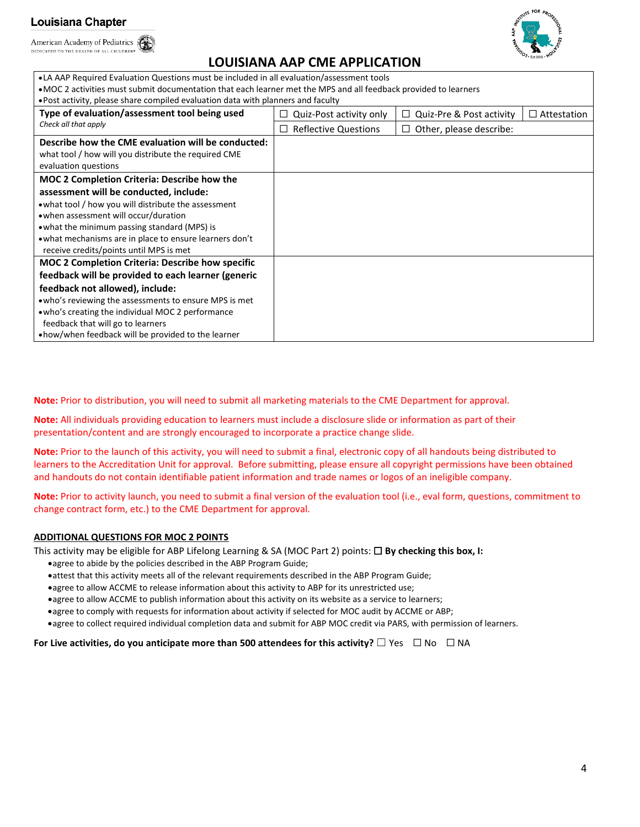American Academy of Pediatrics DEDICATED TO THE HEALTH OF ALL CHILDREN®



# **LOUISIANA AAP CME APPLICATION**

•LA AAP Required Evaluation Questions must be included in all evaluation/assessment tools

•MOC 2 activities must submit documentation that each learner met the MPS and all feedback provided to learners

•Post activity, please share compiled evaluation data with planners and faculty

| Type of evaluation/assessment tool being used           | Quiz-Post activity only<br>ப | $\Box$ Quiz-Pre & Post activity | $\Box$ Attestation |
|---------------------------------------------------------|------------------------------|---------------------------------|--------------------|
| Check all that apply                                    | <b>Reflective Questions</b>  | $\Box$ Other, please describe:  |                    |
| Describe how the CME evaluation will be conducted:      |                              |                                 |                    |
| what tool / how will you distribute the required CME    |                              |                                 |                    |
| evaluation questions                                    |                              |                                 |                    |
| <b>MOC 2 Completion Criteria: Describe how the</b>      |                              |                                 |                    |
| assessment will be conducted, include:                  |                              |                                 |                    |
| • what tool / how you will distribute the assessment    |                              |                                 |                    |
| • when assessment will occur/duration                   |                              |                                 |                    |
| • what the minimum passing standard (MPS) is            |                              |                                 |                    |
| • what mechanisms are in place to ensure learners don't |                              |                                 |                    |
| receive credits/points until MPS is met                 |                              |                                 |                    |
| <b>MOC 2 Completion Criteria: Describe how specific</b> |                              |                                 |                    |
| feedback will be provided to each learner (generic      |                              |                                 |                    |
| feedback not allowed), include:                         |                              |                                 |                    |
| . who's reviewing the assessments to ensure MPS is met  |                              |                                 |                    |
| . who's creating the individual MOC 2 performance       |                              |                                 |                    |
| feedback that will go to learners                       |                              |                                 |                    |
| • how/when feedback will be provided to the learner     |                              |                                 |                    |

**Note:** Prior to distribution, you will need to submit all marketing materials to the CME Department for approval.

**Note:** All individuals providing education to learners must include a disclosure slide or information as part of their presentation/content and are strongly encouraged to incorporate a practice change slide.

**Note:** Prior to the launch of this activity, you will need to submit a final, electronic copy of all handouts being distributed to learners to the Accreditation Unit for approval. Before submitting, please ensure all copyright permissions have been obtained and handouts do not contain identifiable patient information and trade names or logos of an ineligible company.

**Note:** Prior to activity launch, you need to submit a final version of the evaluation tool (i.e., eval form, questions, commitment to change contract form, etc.) to the CME Department for approval.

### **ADDITIONAL QUESTIONS FOR MOC 2 POINTS**

This activity may be eligible for ABP Lifelong Learning & SA (MOC Part 2) points: ☐ **By checking this box, I:**

- •agree to abide by the policies described in the ABP Program Guide;
- •attest that this activity meets all of the relevant requirements described in the ABP Program Guide;
- •agree to allow ACCME to release information about this activity to ABP for its unrestricted use;
- •agree to allow ACCME to publish information about this activity on its website as a service to learners;
- •agree to comply with requests for information about activity if selected for MOC audit by ACCME or ABP;
- •agree to collect required individual completion data and submit for ABP MOC credit via PARS, with permission of learners.

**For Live activities, do you anticipate more than 500 attendees for this activity?** ☐ Yes ☐ No ☐ NA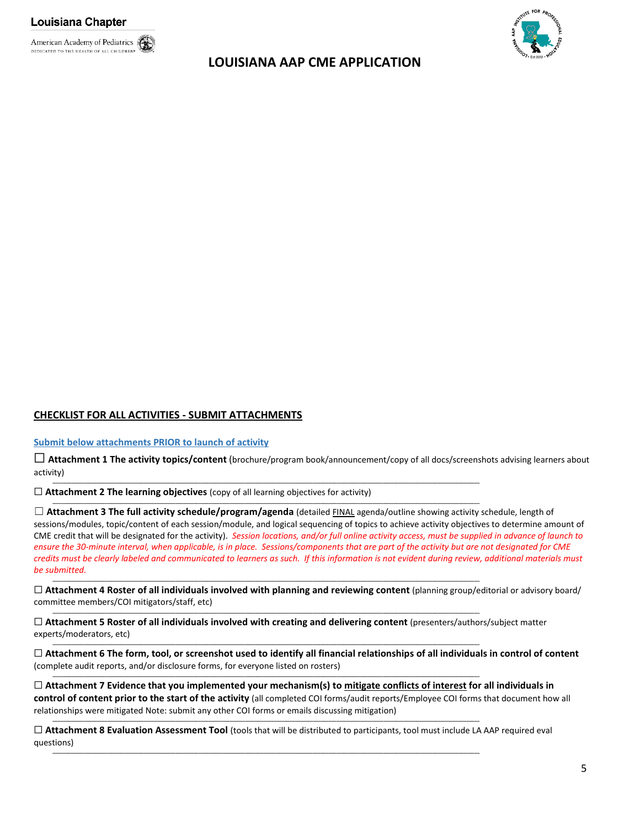

# **LOUISIANA AAP CME APPLICATION**



# **CHECKLIST FOR ALL ACTIVITIES - SUBMIT ATTACHMENTS**

#### **Submit below attachments PRIOR to launch of activity**

☐ **Attachment 1 The activity topics/content** (brochure/program book/announcement/copy of all docs/screenshots advising learners about activity)

**\_\_\_\_\_\_\_\_\_\_\_\_\_\_\_\_\_\_\_\_\_\_\_\_\_\_\_\_\_\_\_\_\_\_\_\_\_\_\_\_\_\_\_\_\_\_\_\_\_\_\_\_\_\_\_\_\_\_\_\_\_\_\_\_\_\_\_\_\_\_\_\_\_\_\_\_\_\_\_\_\_\_\_\_\_\_\_\_\_\_\_\_\_\_\_\_\_\_\_\_\_\_\_\_\_\_\_\_\_\_\_\_\_\_\_\_\_\_\_\_\_\_\_\_\_\_\_\_\_\_\_\_\_\_\_\_\_\_\_\_\_\_\_\_\_\_\_\_\_\_\_\_\_\_\_\_\_\_\_\_\_\_\_\_**

**\_\_\_\_\_\_\_\_\_\_\_\_\_\_\_\_\_\_\_\_\_\_\_\_\_\_\_\_\_\_\_\_\_\_\_\_\_\_\_\_\_\_\_\_\_\_\_\_\_\_\_\_\_\_\_\_\_\_\_\_\_\_\_\_\_\_\_\_\_\_\_\_\_\_\_\_\_\_\_\_\_\_\_\_\_\_\_\_\_\_\_\_\_\_\_\_\_\_\_\_\_\_\_\_\_\_\_\_\_\_\_\_\_\_\_\_\_\_\_\_\_\_\_\_\_\_\_\_\_\_\_\_\_\_\_\_\_\_\_\_\_\_\_\_\_\_\_\_\_\_\_\_\_\_\_\_\_\_\_\_\_\_\_\_**

**\_\_\_\_\_\_\_\_\_\_\_\_\_\_\_\_\_\_\_\_\_\_\_\_\_\_\_\_\_\_\_\_\_\_\_\_\_\_\_\_\_\_\_\_\_\_\_\_\_\_\_\_\_\_\_\_\_\_\_\_\_\_\_\_\_\_\_\_\_\_\_\_\_\_\_\_\_\_\_\_\_\_\_\_\_\_\_\_\_\_\_\_\_\_\_\_\_\_\_\_\_\_\_\_\_\_\_\_\_\_\_\_\_\_\_\_\_\_\_\_\_\_\_\_\_\_\_\_\_\_\_\_\_\_\_\_\_\_\_\_\_\_\_\_\_\_\_\_\_\_\_\_\_\_\_\_\_\_\_\_\_\_\_\_**

**\_\_\_\_\_\_\_\_\_\_\_\_\_\_\_\_\_\_\_\_\_\_\_\_\_\_\_\_\_\_\_\_\_\_\_\_\_\_\_\_\_\_\_\_\_\_\_\_\_\_\_\_\_\_\_\_\_\_\_\_\_\_\_\_\_\_\_\_\_\_\_\_\_\_\_\_\_\_\_\_\_\_\_\_\_\_\_\_\_\_\_\_\_\_\_\_\_\_\_\_\_\_\_\_\_\_\_\_\_\_\_\_\_\_\_\_\_\_\_\_\_\_\_\_\_\_\_\_\_\_\_\_\_\_\_\_\_\_\_\_\_\_\_\_\_\_\_\_\_\_\_\_\_\_\_\_\_\_\_\_\_\_\_\_**

**\_\_\_\_\_\_\_\_\_\_\_\_\_\_\_\_\_\_\_\_\_\_\_\_\_\_\_\_\_\_\_\_\_\_\_\_\_\_\_\_\_\_\_\_\_\_\_\_\_\_\_\_\_\_\_\_\_\_\_\_\_\_\_\_\_\_\_\_\_\_\_\_\_\_\_\_\_\_\_\_\_\_\_\_\_\_\_\_\_\_\_\_\_\_\_\_\_\_\_\_\_\_\_\_\_\_\_\_\_\_\_\_\_\_\_\_\_\_\_\_\_\_\_\_\_\_\_\_\_\_\_\_\_\_\_\_\_\_\_\_\_\_\_\_\_\_\_\_\_\_\_\_\_\_\_\_\_\_\_\_\_\_\_\_**

**\_\_\_\_\_\_\_\_\_\_\_\_\_\_\_\_\_\_\_\_\_\_\_\_\_\_\_\_\_\_\_\_\_\_\_\_\_\_\_\_\_\_\_\_\_\_\_\_\_\_\_\_\_\_\_\_\_\_\_\_\_\_\_\_\_\_\_\_\_\_\_\_\_\_\_\_\_\_\_\_\_\_\_\_\_\_\_\_\_\_\_\_\_\_\_\_\_\_\_\_\_\_\_\_\_\_\_\_\_\_\_\_\_\_\_\_\_\_\_\_\_\_\_\_\_\_\_\_\_\_\_\_\_\_\_\_\_\_\_\_\_\_\_\_\_\_\_\_\_\_\_\_\_\_\_\_\_\_\_\_\_\_\_\_**

**\_\_\_\_\_\_\_\_\_\_\_\_\_\_\_\_\_\_\_\_\_\_\_\_\_\_\_\_\_\_\_\_\_\_\_\_\_\_\_\_\_\_\_\_\_\_\_\_\_\_\_\_\_\_\_\_\_\_\_\_\_\_\_\_\_\_\_\_\_\_\_\_\_\_\_\_\_\_\_\_\_\_\_\_\_\_\_\_\_\_\_\_\_\_\_\_\_\_\_\_\_\_\_\_\_\_\_\_\_\_\_\_\_\_\_\_\_\_\_\_\_\_\_\_\_\_\_\_\_\_\_\_\_\_\_\_\_\_\_\_\_\_\_\_\_\_\_\_\_\_\_\_\_\_\_\_\_\_\_\_\_\_\_\_**

**\_\_\_\_\_\_\_\_\_\_\_\_\_\_\_\_\_\_\_\_\_\_\_\_\_\_\_\_\_\_\_\_\_\_\_\_\_\_\_\_\_\_\_\_\_\_\_\_\_\_\_\_\_\_\_\_\_\_\_\_\_\_\_\_\_\_\_\_\_\_\_\_\_\_\_\_\_\_\_\_\_\_\_\_\_\_\_\_\_\_\_\_\_\_\_\_\_\_\_\_\_\_\_\_\_\_\_\_\_\_\_\_\_\_\_\_\_\_\_\_\_\_\_\_\_\_\_\_\_\_\_\_\_\_\_\_\_\_\_\_\_\_\_\_\_\_\_\_\_\_\_\_\_\_\_\_\_\_\_\_\_\_\_\_**

☐ **Attachment 2 The learning objectives** (copy of all learning objectives for activity)

☐ **Attachment 3 The full activity schedule/program/agenda** (detailed FINAL agenda/outline showing activity schedule, length of sessions/modules, topic/content of each session/module, and logical sequencing of topics to achieve activity objectives to determine amount of CME credit that will be designated for the activity). *Session locations, and/or full online activity access, must be supplied in advance of launch to ensure the 30-minute interval, when applicable, is in place. Sessions/components that are part of the activity but are not designated for CME credits must be clearly labeled and communicated to learners as such. If this information is not evident during review, additional materials must be submitted.*

☐ **Attachment 4 Roster of all individuals involved with planning and reviewing content** (planning group/editorial or advisory board/ committee members/COI mitigators/staff, etc)

☐ **Attachment 5 Roster of all individuals involved with creating and delivering content** (presenters/authors/subject matter experts/moderators, etc)

☐ **Attachment 6 The form, tool, or screenshot used to identify all financial relationships of all individuals in control of content** (complete audit reports, and/or disclosure forms, for everyone listed on rosters)

☐ **Attachment 7 Evidence that you implemented your mechanism(s) to mitigate conflicts of interest for all individuals in control of content prior to the start of the activity** (all completed COI forms/audit reports/Employee COI forms that document how all relationships were mitigated Note: submit any other COI forms or emails discussing mitigation)

☐ **Attachment 8 Evaluation Assessment Tool** (tools that will be distributed to participants, tool must include LA AAP required eval questions)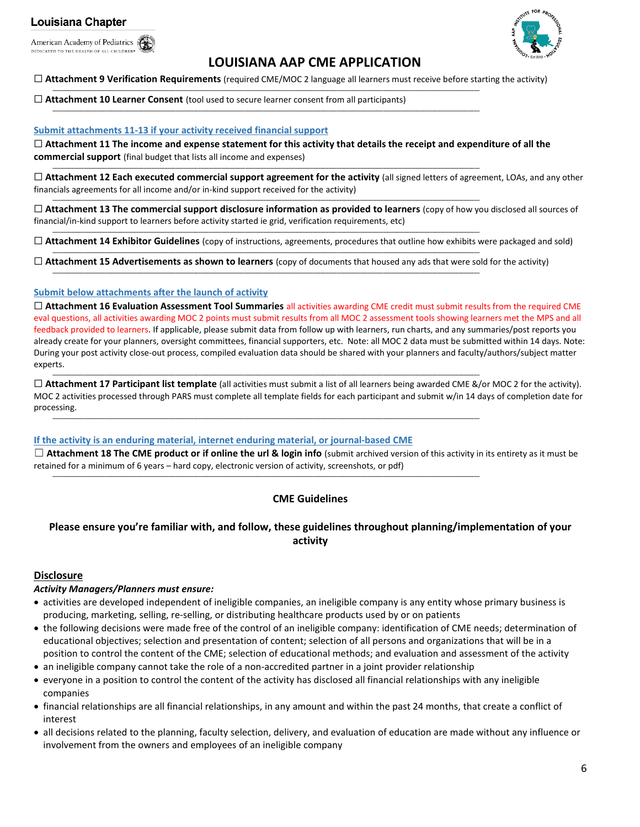American Academy of Pediatrics DEDICATED TO THE HEALTH OF ALL CHILDREN®



# **LOUISIANA AAP CME APPLICATION**

#### ☐ **Attachment 9 Verification Requirements** (required CME/MOC 2 language all learners must receive before starting the activity)

**\_\_\_\_\_\_\_\_\_\_\_\_\_\_\_\_\_\_\_\_\_\_\_\_\_\_\_\_\_\_\_\_\_\_\_\_\_\_\_\_\_\_\_\_\_\_\_\_\_\_\_\_\_\_\_\_\_\_\_\_\_\_\_\_\_\_\_\_\_\_\_\_\_\_\_\_\_\_\_\_\_\_\_\_\_\_\_\_\_\_\_\_\_\_\_\_\_\_\_\_\_\_\_\_\_\_\_\_\_\_\_\_\_\_\_\_\_\_\_\_\_\_\_\_\_\_\_\_\_\_\_\_\_\_\_\_\_\_\_\_\_\_\_\_\_\_\_\_\_\_\_\_\_\_\_\_\_\_\_\_\_\_\_\_**

**\_\_\_\_\_\_\_\_\_\_\_\_\_\_\_\_\_\_\_\_\_\_\_\_\_\_\_\_\_\_\_\_\_\_\_\_\_\_\_\_\_\_\_\_\_\_\_\_\_\_\_\_\_\_\_\_\_\_\_\_\_\_\_\_\_\_\_\_\_\_\_\_\_\_\_\_\_\_\_\_\_\_\_\_\_\_\_\_\_\_\_\_\_\_\_\_\_\_\_\_\_\_\_\_\_\_\_\_\_\_\_\_\_\_\_\_\_\_\_\_\_\_\_\_\_\_\_\_\_\_\_\_\_\_\_\_\_\_\_\_\_\_\_\_\_\_\_\_\_\_\_\_\_\_\_\_\_\_\_\_\_\_\_\_**

**\_\_\_\_\_\_\_\_\_\_\_\_\_\_\_\_\_\_\_\_\_\_\_\_\_\_\_\_\_\_\_\_\_\_\_\_\_\_\_\_\_\_\_\_\_\_\_\_\_\_\_\_\_\_\_\_\_\_\_\_\_\_\_\_\_\_\_\_\_\_\_\_\_\_\_\_\_\_\_\_\_\_\_\_\_\_\_\_\_\_\_\_\_\_\_\_\_\_\_\_\_\_\_\_\_\_\_\_\_\_\_\_\_\_\_\_\_\_\_\_\_\_\_\_\_\_\_\_\_\_\_\_\_\_\_\_\_\_\_\_\_\_\_\_\_\_\_\_\_\_\_\_\_\_\_\_\_\_\_\_\_\_\_\_**

**\_\_\_\_\_\_\_\_\_\_\_\_\_\_\_\_\_\_\_\_\_\_\_\_\_\_\_\_\_\_\_\_\_\_\_\_\_\_\_\_\_\_\_\_\_\_\_\_\_\_\_\_\_\_\_\_\_\_\_\_\_\_\_\_\_\_\_\_\_\_\_\_\_\_\_\_\_\_\_\_\_\_\_\_\_\_\_\_\_\_\_\_\_\_\_\_\_\_\_\_\_\_\_\_\_\_\_\_\_\_\_\_\_\_\_\_\_\_\_\_\_\_\_\_\_\_\_\_\_\_\_\_\_\_\_\_\_\_\_\_\_\_\_\_\_\_\_\_\_\_\_\_\_\_\_\_\_\_\_\_\_\_\_\_**

**\_\_\_\_\_\_\_\_\_\_\_\_\_\_\_\_\_\_\_\_\_\_\_\_\_\_\_\_\_\_\_\_\_\_\_\_\_\_\_\_\_\_\_\_\_\_\_\_\_\_\_\_\_\_\_\_\_\_\_\_\_\_\_\_\_\_\_\_\_\_\_\_\_\_\_\_\_\_\_\_\_\_\_\_\_\_\_\_\_\_\_\_\_\_\_\_\_\_\_\_\_\_\_\_\_\_\_\_\_\_\_\_\_\_\_\_\_\_\_\_\_\_\_\_\_\_\_\_\_\_\_\_\_\_\_\_\_\_\_\_\_\_\_\_\_\_\_\_\_\_\_\_\_\_\_\_\_\_\_\_\_\_\_\_**

**\_\_\_\_\_\_\_\_\_\_\_\_\_\_\_\_\_\_\_\_\_\_\_\_\_\_\_\_\_\_\_\_\_\_\_\_\_\_\_\_\_\_\_\_\_\_\_\_\_\_\_\_\_\_\_\_\_\_\_\_\_\_\_\_\_\_\_\_\_\_\_\_\_\_\_\_\_\_\_\_\_\_\_\_\_\_\_\_\_\_\_\_\_\_\_\_\_\_\_\_\_\_\_\_\_\_\_\_\_\_\_\_\_\_\_\_\_\_\_\_\_\_\_\_\_\_\_\_\_\_\_\_\_\_\_\_\_\_\_\_\_\_\_\_\_\_\_\_\_\_\_\_\_\_\_\_\_\_\_\_\_\_\_\_**

**\_\_\_\_\_\_\_\_\_\_\_\_\_\_\_\_\_\_\_\_\_\_\_\_\_\_\_\_\_\_\_\_\_\_\_\_\_\_\_\_\_\_\_\_\_\_\_\_\_\_\_\_\_\_\_\_\_\_\_\_\_\_\_\_\_\_\_\_\_\_\_\_\_\_\_\_\_\_\_\_\_\_\_\_\_\_\_\_\_\_\_\_\_\_\_\_\_\_\_\_\_\_\_\_\_\_\_\_\_\_\_\_\_\_\_\_\_\_\_\_\_\_\_\_\_\_\_\_\_\_\_\_\_\_\_\_\_\_\_\_\_\_\_\_\_\_\_\_\_\_\_\_\_\_\_\_\_\_\_\_\_\_\_\_**

**\_\_\_\_\_\_\_\_\_\_\_\_\_\_\_\_\_\_\_\_\_\_\_\_\_\_\_\_\_\_\_\_\_\_\_\_\_\_\_\_\_\_\_\_\_\_\_\_\_\_\_\_\_\_\_\_\_\_\_\_\_\_\_\_\_\_\_\_\_\_\_\_\_\_\_\_\_\_\_\_\_\_\_\_\_\_\_\_\_\_\_\_\_\_\_\_\_\_\_\_\_\_\_\_\_\_\_\_\_\_\_\_\_\_\_\_\_\_\_\_\_\_\_\_\_\_\_\_\_\_\_\_\_\_\_\_\_\_\_\_\_\_\_\_\_\_\_\_\_\_\_\_\_\_\_\_\_\_\_\_\_\_\_\_**

**\_\_\_\_\_\_\_\_\_\_\_\_\_\_\_\_\_\_\_\_\_\_\_\_\_\_\_\_\_\_\_\_\_\_\_\_\_\_\_\_\_\_\_\_\_\_\_\_\_\_\_\_\_\_\_\_\_\_\_\_\_\_\_\_\_\_\_\_\_\_\_\_\_\_\_\_\_\_\_\_\_\_\_\_\_\_\_\_\_\_\_\_\_\_\_\_\_\_\_\_\_\_\_\_\_\_\_\_\_\_\_\_\_\_\_\_\_\_\_\_\_\_\_\_\_\_\_\_\_\_\_\_\_\_\_\_\_\_\_\_\_\_\_\_\_\_\_\_\_\_\_\_\_\_\_\_\_\_\_\_\_\_\_\_**

### ☐ **Attachment 10 Learner Consent** (tool used to secure learner consent from all participants)

#### **Submit attachments 11-13 if your activity received financial support**

☐ **Attachment 11 The income and expense statement for this activity that details the receipt and expenditure of all the commercial support** (final budget that lists all income and expenses)

☐ **Attachment 12 Each executed commercial support agreement for the activity** (all signed letters of agreement, LOAs, and any other financials agreements for all income and/or in-kind support received for the activity)

☐ **Attachment 13 The commercial support disclosure information as provided to learners** (copy of how you disclosed all sources of financial/in-kind support to learners before activity started ie grid, verification requirements, etc)

☐ **Attachment 14 Exhibitor Guidelines** (copy of instructions, agreements, procedures that outline how exhibits were packaged and sold)

☐ **Attachment 15 Advertisements as shown to learners** (copy of documents that housed any ads that were sold for the activity)

#### **Submit below attachments after the launch of activity**

☐ **Attachment 16 Evaluation Assessment Tool Summaries** all activities awarding CME credit must submit results from the required CME eval questions, all activities awarding MOC 2 points must submit results from all MOC 2 assessment tools showing learners met the MPS and all feedback provided to learners. If applicable, please submit data from follow up with learners, run charts, and any summaries/post reports you already create for your planners, oversight committees, financial supporters, etc. Note: all MOC 2 data must be submitted within 14 days. Note: During your post activity close-out process, compiled evaluation data should be shared with your planners and faculty/authors/subject matter experts.

☐ **Attachment 17 Participant list template** (all activities must submit a list of all learners being awarded CME &/or MOC 2 for the activity). MOC 2 activities processed through PARS must complete all template fields for each participant and submit w/in 14 days of completion date for processing. **\_\_\_\_\_\_\_\_\_\_\_\_\_\_\_\_\_\_\_\_\_\_\_\_\_\_\_\_\_\_\_\_\_\_\_\_\_\_\_\_\_\_\_\_\_\_\_\_\_\_\_\_\_\_\_\_\_\_\_\_\_\_\_\_\_\_\_\_\_\_\_\_\_\_\_\_\_\_\_\_\_\_\_\_\_\_\_\_\_\_\_\_\_\_\_\_\_\_\_\_\_\_\_\_\_\_\_\_\_\_\_\_\_\_\_\_\_\_\_\_\_\_\_\_\_\_\_\_\_\_\_\_\_\_\_\_\_\_\_\_\_\_\_\_\_\_\_\_\_\_\_\_\_\_\_\_\_\_\_\_\_\_\_\_**

#### **If the activity is an enduring material, internet enduring material, or journal-based CME**

☐ **Attachment 18 The CME product or if online the url & login info** (submit archived version of this activity in its entirety as it must be retained for a minimum of 6 years – hard copy, electronic version of activity, screenshots, or pdf)

## **CME Guidelines**

# **Please ensure you're familiar with, and follow, these guidelines throughout planning/implementation of your activity**

### **Disclosure**

### *Activity Managers/Planners must ensure:*

- activities are developed independent of ineligible companies, an ineligible company is any entity whose primary business is producing, marketing, selling, re-selling, or distributing healthcare products used by or on patients
- the following decisions were made free of the control of an ineligible company: identification of CME needs; determination of educational objectives; selection and presentation of content; selection of all persons and organizations that will be in a position to control the content of the CME; selection of educational methods; and evaluation and assessment of the activity
- an ineligible company cannot take the role of a non-accredited partner in a joint provider relationship
- everyone in a position to control the content of the activity has disclosed all financial relationships with any ineligible companies
- financial relationships are all financial relationships, in any amount and within the past 24 months, that create a conflict of interest
- all decisions related to the planning, faculty selection, delivery, and evaluation of education are made without any influence or involvement from the owners and employees of an ineligible company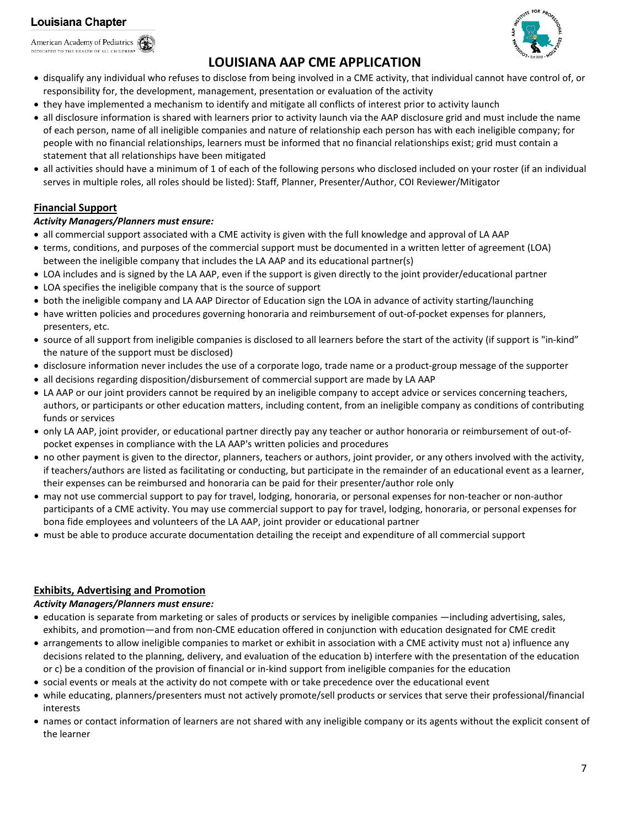American Academy of Pediatrics DEDICATED TO THE HEALTH OF ALL CHILDREN®



# **LOUISIANA AAP CME APPLICATION**

- disqualify any individual who refuses to disclose from being involved in a CME activity, that individual cannot have control of, or responsibility for, the development, management, presentation or evaluation of the activity
- they have implemented a mechanism to identify and mitigate all conflicts of interest prior to activity launch
- all disclosure information is shared with learners prior to activity launch via the AAP disclosure grid and must include the name of each person, name of all ineligible companies and nature of relationship each person has with each ineligible company; for people with no financial relationships, learners must be informed that no financial relationships exist; grid must contain a statement that all relationships have been mitigated
- all activities should have a minimum of 1 of each of the following persons who disclosed included on your roster (if an individual serves in multiple roles, all roles should be listed): Staff, Planner, Presenter/Author, COI Reviewer/Mitigator

# **Financial Support**

# *Activity Managers/Planners must ensure:*

- all commercial support associated with a CME activity is given with the full knowledge and approval of LA AAP
- terms, conditions, and purposes of the commercial support must be documented in a written letter of agreement (LOA) between the ineligible company that includes the LA AAP and its educational partner(s)
- LOA includes and is signed by the LA AAP, even if the support is given directly to the joint provider/educational partner
- LOA specifies the ineligible company that is the source of support
- both the ineligible company and LA AAP Director of Education sign the LOA in advance of activity starting/launching
- have written policies and procedures governing honoraria and reimbursement of out-of-pocket expenses for planners, presenters, etc.
- source of all support from ineligible companies is disclosed to all learners before the start of the activity (if support is "in-kind" the nature of the support must be disclosed)
- disclosure information never includes the use of a corporate logo, trade name or a product-group message of the supporter
- all decisions regarding disposition/disbursement of commercial support are made by LA AAP
- LA AAP or our joint providers cannot be required by an ineligible company to accept advice or services concerning teachers, authors, or participants or other education matters, including content, from an ineligible company as conditions of contributing funds or services
- only LA AAP, joint provider, or educational partner directly pay any teacher or author honoraria or reimbursement of out-ofpocket expenses in compliance with the LA AAP's written policies and procedures
- no other payment is given to the director, planners, teachers or authors, joint provider, or any others involved with the activity, if teachers/authors are listed as facilitating or conducting, but participate in the remainder of an educational event as a learner, their expenses can be reimbursed and honoraria can be paid for their presenter/author role only
- may not use commercial support to pay for travel, lodging, honoraria, or personal expenses for non-teacher or non-author participants of a CME activity. You may use commercial support to pay for travel, lodging, honoraria, or personal expenses for bona fide employees and volunteers of the LA AAP, joint provider or educational partner
- must be able to produce accurate documentation detailing the receipt and expenditure of all commercial support

# **Exhibits, Advertising and Promotion**

## *Activity Managers/Planners must ensure:*

- education is separate from marketing or sales of products or services by ineligible companies —including advertising, sales, exhibits, and promotion—and from non-CME education offered in conjunction with education designated for CME credit
- arrangements to allow ineligible companies to market or exhibit in association with a CME activity must not a) influence any decisions related to the planning, delivery, and evaluation of the education b) interfere with the presentation of the education or c) be a condition of the provision of financial or in-kind support from ineligible companies for the education
- social events or meals at the activity do not compete with or take precedence over the educational event
- while educating, planners/presenters must not actively promote/sell products or services that serve their professional/financial interests
- names or contact information of learners are not shared with any ineligible company or its agents without the explicit consent of the learner